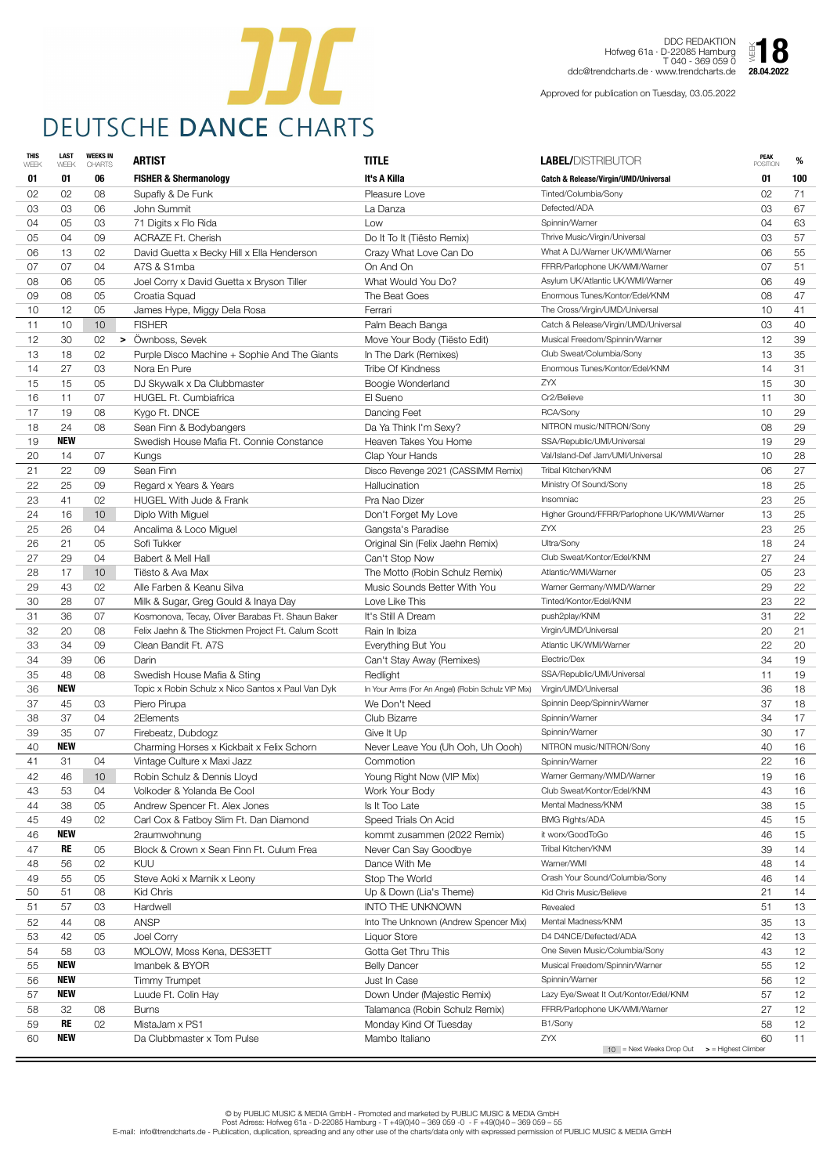

DDC REDAKTION Hofweg 61a · D-22085 Hamburg T 040 - 369 059 0 ddc@trendcharts.de · www.trendcharts.de 28.04.2022  $\sum_{28.04.2022}$ 

| <b>THIS</b><br>WEEK | <b>LAST</b><br>WEEK | <b>WEEKS IN</b><br><b>CHARTS</b> | <b>ARTIST</b>                                      | <b>TITLE</b>                                       | <b>LABEL/DISTRIBUTOR</b>                                                       | <b>PEAK</b><br><b>POSITION</b> | %               |
|---------------------|---------------------|----------------------------------|----------------------------------------------------|----------------------------------------------------|--------------------------------------------------------------------------------|--------------------------------|-----------------|
| 01                  | 01                  | 06                               | <b>FISHER &amp; Shermanology</b>                   | It's A Killa                                       | <b>Catch &amp; Release/Virgin/UMD/Universal</b>                                | 01                             | 100             |
| 02                  | 02                  | 08                               | Supafly & De Funk                                  | Pleasure Love                                      | Tinted/Columbia/Sony                                                           | 02                             | 71              |
| 03                  | 03                  | 06                               | John Summit                                        | La Danza                                           | Defected/ADA                                                                   | 03                             | 67              |
| 04                  | 05                  | 03                               | 71 Digits x Flo Rida                               | Low                                                | Spinnin/Warner                                                                 | 04                             | 63              |
| 05                  | 04                  | 09                               | <b>ACRAZE Ft. Cherish</b>                          | Do It To It (Tiësto Remix)                         | Thrive Music/Virgin/Universal                                                  | 03                             | 57              |
| 06                  | 13                  | 02                               | David Guetta x Becky Hill x Ella Henderson         | Crazy What Love Can Do                             | What A DJ/Warner UK/WMI/Warner                                                 | 06                             | 55              |
| 07                  | 07                  | 04                               | A7S & S1mba                                        | On And On                                          | FFRR/Parlophone UK/WMI/Warner                                                  | 07                             | 51              |
| 08                  | 06                  | 05                               | Joel Corry x David Guetta x Bryson Tiller          | What Would You Do?                                 | Asylum UK/Atlantic UK/WMI/Warner                                               | 06                             | 49              |
| 09                  | 08                  | 05                               | Croatia Squad                                      | The Beat Goes                                      | Enormous Tunes/Kontor/Edel/KNM                                                 | 08                             | 47              |
| 10                  | 12                  | 05                               | James Hype, Miggy Dela Rosa                        | Ferrari                                            | The Cross/Virgin/UMD/Universal                                                 | 10                             | 41              |
| 11                  | 10                  | 10 <sup>°</sup>                  | <b>FISHER</b>                                      | Palm Beach Banga                                   | Catch & Release/Virgin/UMD/Universal                                           | 03                             | 40              |
| 12                  | 30                  | 02<br>➤                          | Ownboss, Sevek                                     | Move Your Body (Tiësto Edit)                       | Musical Freedom/Spinnin/Warner                                                 | 12                             | 39              |
| 13                  | 18                  | 02                               | Purple Disco Machine + Sophie And The Giants       | In The Dark (Remixes)                              | Club Sweat/Columbia/Sony                                                       | 13                             | 35              |
| 14                  | 27                  | 03                               | Nora En Pure                                       | <b>Tribe Of Kindness</b>                           | Enormous Tunes/Kontor/Edel/KNM                                                 | 14                             | 31              |
| 15                  | 15                  | 05                               | DJ Skywalk x Da Clubbmaster                        | Boogie Wonderland                                  | <b>ZYX</b>                                                                     | 15                             | 30              |
| 16                  | 11                  | 07                               | HUGEL Ft. Cumbiafrica                              | El Sueno                                           | Cr2/Believe                                                                    | 11                             | 30              |
| 17                  | 19                  | 08                               | Kygo Ft. DNCE                                      | Dancing Feet                                       | RCA/Sony                                                                       | 10                             | 29              |
| 18                  | 24                  | 08                               | Sean Finn & Bodybangers                            | Da Ya Think I'm Sexy?                              | NITRON music/NITRON/Sony                                                       | 08                             | 29              |
| 19                  | <b>NEW</b>          |                                  | Swedish House Mafia Ft. Connie Constance           | Heaven Takes You Home                              | SSA/Republic/UMI/Universal                                                     | 19                             | 29              |
| 20                  | 14                  | 07                               | Kungs                                              | Clap Your Hands                                    | Val/Island-Def Jam/UMI/Universal                                               | 10                             | 28              |
| 21                  | 22                  | 09                               | Sean Finn                                          | Disco Revenge 2021 (CASSIMM Remix)                 | Tribal Kitchen/KNM                                                             | 06                             | 27              |
| 22                  | 25                  | 09                               | Regard x Years & Years                             | Hallucination                                      | Ministry Of Sound/Sony                                                         | 18                             | 25              |
| 23                  | -41                 | 02                               | <b>HUGEL With Jude &amp; Frank</b>                 | Pra Nao Dizer                                      | Insomniac                                                                      | 23                             | 25              |
| 24                  | 16                  | 10 <sup>°</sup>                  | Diplo With Miguel                                  | Don't Forget My Love                               | Higher Ground/FFRR/Parlophone UK/WMI/Warner                                    | 13                             | 25              |
| 25                  | 26                  | 04                               | Ancalima & Loco Miguel                             | Gangsta's Paradise                                 | <b>ZYX</b>                                                                     | 23                             | 25              |
| 26                  | 21                  | 05                               | Sofi Tukker                                        | Original Sin (Felix Jaehn Remix)                   | Ultra/Sony                                                                     | 18                             | 24              |
| 27                  | 29                  | 04                               | Babert & Mell Hall                                 | Can't Stop Now                                     | Club Sweat/Kontor/Edel/KNM                                                     | 27                             | 24              |
| 28                  | 17                  | 10 <sup>°</sup>                  | Tiësto & Ava Max                                   | The Motto (Robin Schulz Remix)                     | Atlantic/WMI/Warner                                                            | 05                             | 23              |
| 29                  | 43                  | 02                               | Alle Farben & Keanu Silva                          | Music Sounds Better With You                       | Warner Germany/WMD/Warner                                                      | 29                             | 22              |
| 30                  | 28                  | 07                               | Milk & Sugar, Greg Gould & Inaya Day               | Love Like This                                     | Tinted/Kontor/Edel/KNM                                                         | 23                             | 22              |
| 31                  | 36                  | 07                               | Kosmonova, Tecay, Oliver Barabas Ft. Shaun Baker   | It's Still A Dream                                 | push2play/KNM                                                                  | 31                             | 22              |
| 32                  | 20                  | 08                               | Felix Jaehn & The Stickmen Project Ft. Calum Scott | Rain In Ibiza                                      | Virgin/UMD/Universal                                                           | 20                             | 21              |
| 33                  | 34                  | 09                               | Clean Bandit Ft. A7S                               | Everything But You                                 | Atlantic UK/WMI/Warner                                                         | 22                             | 20              |
| 34                  | 39                  | 06                               | Darin                                              | Can't Stay Away (Remixes)                          | Electric/Dex                                                                   | 34                             | 19              |
| 35                  | 48                  | 08                               | Swedish House Mafia & Sting                        | Redlight                                           | SSA/Republic/UMI/Universal                                                     | 11                             | 19              |
| 36                  | <b>NEW</b>          |                                  | Topic x Robin Schulz x Nico Santos x Paul Van Dyk  | In Your Arms (For An Angel) (Robin Schulz VIP Mix) | Virgin/UMD/Universal                                                           | 36                             | 18              |
| 37                  | 45                  | 03                               | Piero Pirupa                                       | We Don't Need                                      | Spinnin Deep/Spinnin/Warner                                                    | 37                             | 18              |
| 38                  | 37                  | 04                               | 2Elements                                          | Club Bizarre                                       | Spinnin/Warner                                                                 | 34                             | 17              |
| 39                  | 35                  | 07                               | Firebeatz, Dubdogz                                 | Give It Up                                         | Spinnin/Warner                                                                 | 30                             | 17              |
| 40                  | <b>NEW</b>          |                                  | Charming Horses x Kickbait x Felix Schorn          | Never Leave You (Uh Ooh, Uh Oooh)                  | NITRON music/NITRON/Sony                                                       | 40                             | 16              |
| 41                  | 31                  | 04                               | Vintage Culture x Maxi Jazz                        | Commotion                                          | Spinnin/Warner                                                                 | 22                             | 16              |
| 42                  | 46                  | 10 <sup>°</sup>                  | Robin Schulz & Dennis Lloyd                        | Young Right Now (VIP Mix)                          | Warner Germany/WMD/Warner                                                      | 19                             | 16              |
| 43                  | 53                  | 04                               | Volkoder & Yolanda Be Cool                         | Work Your Body                                     | Club Sweat/Kontor/Edel/KNM                                                     | 43                             | 16              |
| 44                  | 38                  | 05                               | Andrew Spencer Ft. Alex Jones                      | Is It Too Late                                     | Mental Madness/KNM                                                             | 38                             | 15              |
| 45                  | 49                  | 02                               | Carl Cox & Fatboy Slim Ft. Dan Diamond             | Speed Trials On Acid                               | <b>BMG Rights/ADA</b>                                                          | 45                             | 15              |
| 46                  | <b>NEW</b>          |                                  | 2raumwohnung                                       | kommt zusammen (2022 Remix)                        | it worx/GoodToGo                                                               | 46                             | 15              |
| 47                  | <b>RE</b>           | 05                               | Block & Crown x Sean Finn Ft. Culum Frea           | Never Can Say Goodbye                              | Tribal Kitchen/KNM                                                             | 39                             | 14              |
| 48                  | 56                  | 02                               | KUU                                                | Dance With Me                                      | Warner/WMI                                                                     | 48                             | 14              |
| 49                  | 55                  | 05                               | Steve Aoki x Marnik x Leony                        | Stop The World                                     | Crash Your Sound/Columbia/Sony                                                 | 46                             | 14              |
| 50                  | 51                  | 08                               | Kid Chris                                          | Up & Down (Lia's Theme)                            | Kid Chris Music/Believe                                                        | 21                             | 14              |
| 51                  | 57                  | 03                               | Hardwell                                           | <b>INTO THE UNKNOWN</b>                            | Revealed                                                                       | 51                             | 13              |
| 52                  | 44                  | 08                               | <b>ANSP</b>                                        | Into The Unknown (Andrew Spencer Mix)              | Mental Madness/KNM                                                             | 35                             | 13              |
| 53                  | 42                  | 05                               | Joel Corry                                         | <b>Liquor Store</b>                                | D4 D4NCE/Defected/ADA                                                          | 42                             | 13              |
| 54                  | 58                  | 03                               | MOLOW, Moss Kena, DES3ETT                          | Gotta Get Thru This                                | One Seven Music/Columbia/Sony                                                  | 43                             | 12              |
| 55                  | <b>NEW</b>          |                                  | Imanbek & BYOR                                     | <b>Belly Dancer</b>                                | Musical Freedom/Spinnin/Warner                                                 | 55                             | 12              |
| 56                  | <b>NEW</b>          |                                  | <b>Timmy Trumpet</b>                               | Just In Case                                       | Spinnin/Warner                                                                 | 56                             | 12              |
| 57                  | <b>NEW</b>          |                                  | Luude Ft. Colin Hay                                | Down Under (Majestic Remix)                        | Lazy Eye/Sweat It Out/Kontor/Edel/KNM                                          | 57                             | 12 <sup>2</sup> |
| 58                  | 32                  | 08                               | <b>Burns</b>                                       | Talamanca (Robin Schulz Remix)                     | FFRR/Parlophone UK/WMI/Warner                                                  | 27                             | 12              |
| 59                  | <b>RE</b>           | 02                               | MistaJam x PS1                                     | Monday Kind Of Tuesday                             | B1/Sony                                                                        | 58                             | 12              |
| 60                  | <b>NEW</b>          |                                  | Da Clubbmaster x Tom Pulse                         | Mambo Italiano                                     | <b>ZYX</b><br>$10$ = Next Weeks Drop Out<br>$\triangleright$ = Highest Climber | 60                             | 11              |

Approved for publication on Tuesday, 03.05.2022